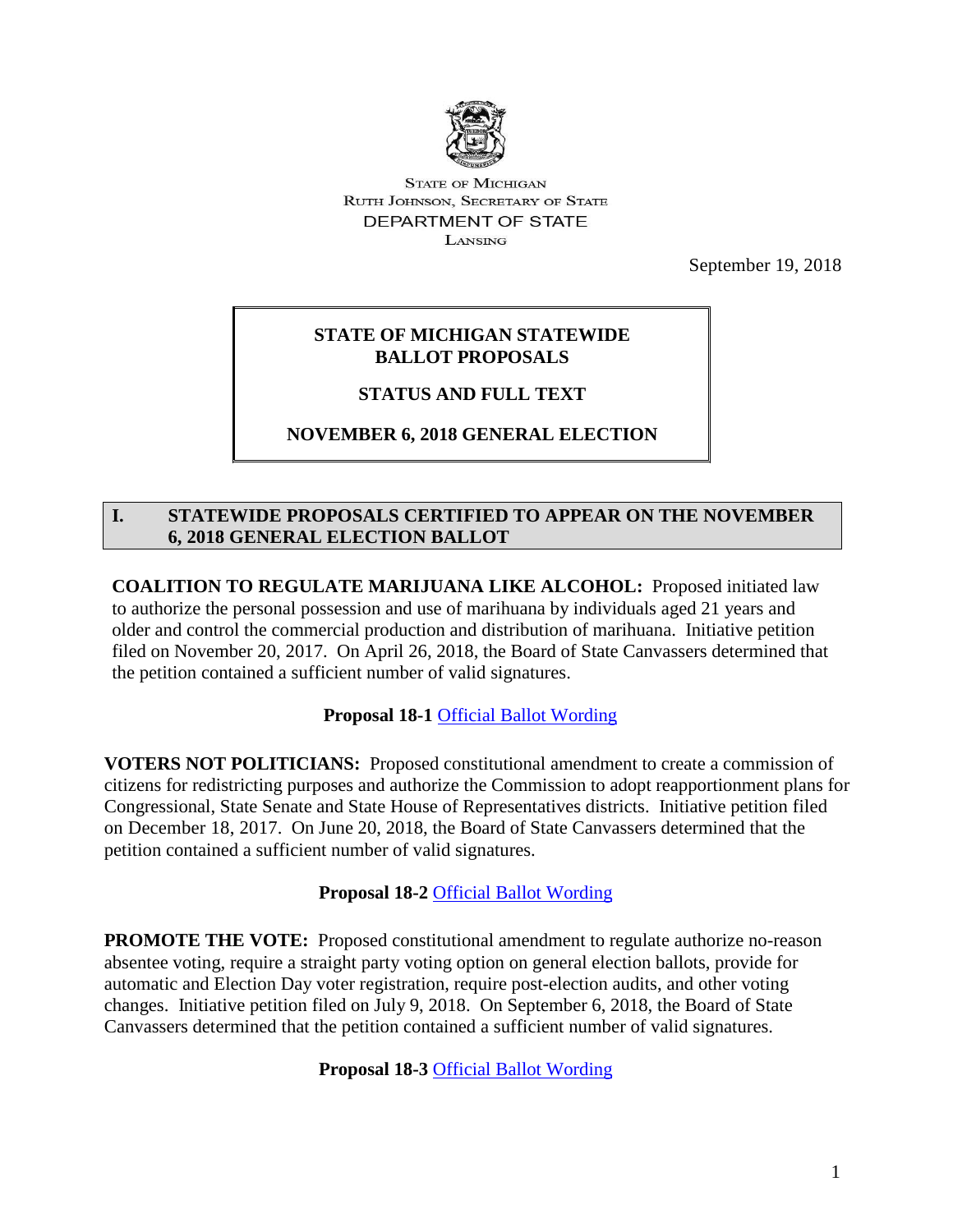

**STATE OF MICHIGAN RUTH JOHNSON, SECRETARY OF STATE** DEPARTMENT OF STATE **LANSING** 

September 19, 2018

## **STATE OF MICHIGAN STATEWIDE BALLOT PROPOSALS**

# **STATUS AND FULL TEXT**

# **NOVEMBER 6, 2018 GENERAL ELECTION**

### **I. STATEWIDE PROPOSALS CERTIFIED TO APPEAR ON THE NOVEMBER 6, 2018 GENERAL ELECTION BALLOT**

**COALITION TO REGULATE MARIJUANA LIKE ALCOHOL:** Proposed initiated law to authorize the personal possession and use of marihuana by individuals aged 21 years and older and control the commercial production and distribution of marihuana. Initiative petition filed on November 20, 2017. On April 26, 2018, the Board of State Canvassers determined that the petition contained a sufficient number of valid signatures.

**Proposal 18-1** [Official Ballot Wording](https://www.michigan.gov/documents/sos/Official_Ballot_Wording_Prop_18-1_632051_7.pdf)

**VOTERS NOT POLITICIANS:** Proposed constitutional amendment to create a commission of citizens for redistricting purposes and authorize the Commission to adopt reapportionment plans for Congressional, State Senate and State House of Representatives districts. Initiative petition filed on December 18, 2017. On June 20, 2018, the Board of State Canvassers determined that the petition contained a sufficient number of valid signatures.

# **Proposal 18-2** [Official Ballot Wording](https://www.michigan.gov/documents/sos/Official_Ballot_Wording_Prop_18-2_632052_7.pdf)

**PROMOTE THE VOTE:** Proposed constitutional amendment to regulate authorize no-reason absentee voting, require a straight party voting option on general election ballots, provide for automatic and Election Day voter registration, require post-election audits, and other voting changes. Initiative petition filed on July 9, 2018. On September 6, 2018, the Board of State Canvassers determined that the petition contained a sufficient number of valid signatures.

**Proposal 18-3** [Official Ballot Wording](https://www.michigan.gov/documents/sos/Official_Ballot_Wording_Prop_18-3_632053_7.pdf)